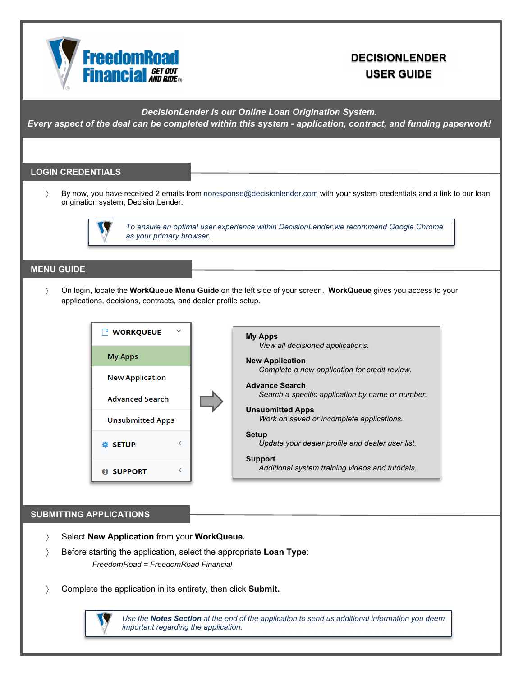

# **DECISIONLENDER USER GUIDE**

*DecisionLender is our Online Loan Origination System.* 

*Every aspect of the deal can be completed within this system - application, contract, and funding paperwork!* 

## **LOGIN CREDENTIALS**

> By now, you have received 2 emails from noresponse@decisionlender.com with your system credentials and a link to our loan origination system, DecisionLender.



*To ensure an optimal user experience within DecisionLender,we recommend Google Chrome as your primary browser.*

## **MENU GUIDE**

 On login, locate the **WorkQueue Menu Guide** on the left side of your screen. **WorkQueue** gives you access to your applications, decisions, contracts, and dealer profile setup.



**My Apps**  *View all decisioned applications.*  **New Application** *Complete a new application for credit review.*  **Advance Search** *Search a specific application by name or number.*  **Unsubmitted Apps** *Work on saved or incomplete applications.*  **Setup** *Update your dealer profile and dealer user list.*  **Support**   *Additional system training videos and tutorials.* 

#### **SUBMITTING APPLICATIONS**

- Select **New Application** from your **WorkQueue.**
- Before starting the application, select the appropriate **Loan Type**: *FreedomRoad = FreedomRoad Financial*
- Complete the application in its entirety, then click **Submit.**

 *Use the Notes Section at the end of the application to send us additional information you deem important regarding the application.*